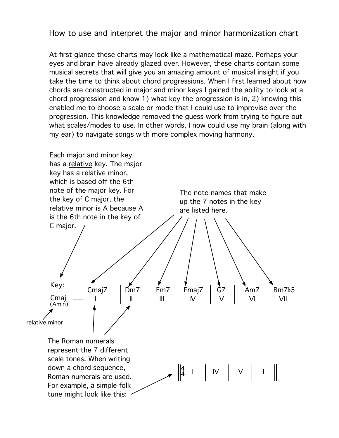## How to use and interpret the major and minor harmonization chart

At first glance these charts may look like a mathematical maze. Perhaps your eyes and brain have already glazed over. However, these charts contain some musical secrets that will give you an amazing amount of musical insight if you take the time to think about chord progressions. When I first learned about how chords are constructed in major and minor keys I gained the ability to look at a chord progression and know 1) what key the progression is in, 2) knowing this enabled me to choose a scale or mode that I could use to improvise over the progression. This knowledge removed the guess work from trying to figure out what scales/modes to use. In other words, I now could use my brain (along with my ear) to navigate songs with more complex moving harmony.

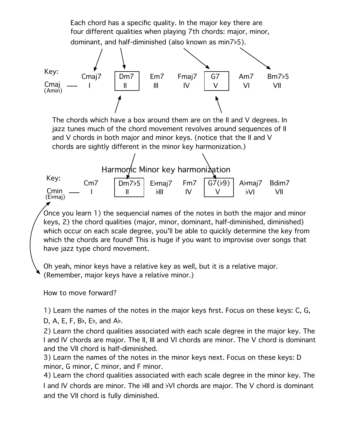Each chord has a specific quality. In the major key there are four different qualities when playing 7th chords: major, minor, dominant, and half-diminished (also known as min7b5).



The chords which have a box around them are on the II and V degrees. In jazz tunes much of the chord movement revolves around sequences of II and V chords in both major and minor keys. (notice that the II and V chords are sightly different in the minor key harmonization.)



Once you learn 1) the sequencial names of the notes in both the major and minor keys, 2) the chord qualities (major, minor, dominant, half-diminished, diminished) which occur on each scale degree, you'll be able to quickly determine the key from which the chords are found! This is huge if you want to improvise over songs that have jazz type chord movement.

Oh yeah, minor keys have a relative key as well, but it is a relative major. (Remember, major keys have a relative minor.)

How to move forward?

1) Learn the names of the notes in the major keys first. Focus on these keys: C, G,

D,  $A$ , E, F,  $B$ b,  $E$ b, and  $A$ b.

2) Learn the chord qualities associated with each scale degree in the major key. The I and IV chords are major. The II, III and VI chords are minor. The V chord is dominant and the VII chord is half-diminished.

3) Learn the names of the notes in the minor keys next. Focus on these keys: D minor, G minor, C minor, and F minor.

4) Learn the chord qualities associated with each scale degree in the minor key. The I and IV chords are minor. The bill and bVI chords are major. The V chord is dominant and the VII chord is fully diminished.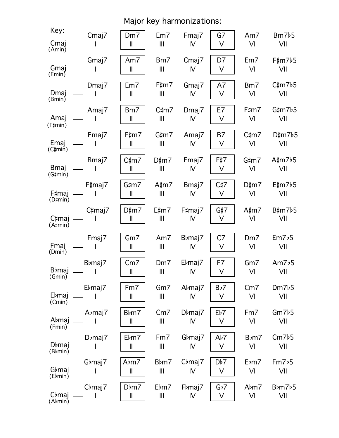|                        | Major key harmonizations: |                     |                      |                     |                |                 |                      |  |  |  |  |  |  |
|------------------------|---------------------------|---------------------|----------------------|---------------------|----------------|-----------------|----------------------|--|--|--|--|--|--|
| Key:<br>Cmaj<br>(Amin) | Cmaj7                     | Dm7<br>$\mathbf{I}$ | Em7<br>$\mathbf{  }$ | Fmaj7<br>IV         | G7<br>V        | Am7<br>VI       | Bm7b5<br>VII         |  |  |  |  |  |  |
| Gmaj                   | Gmaj7                     | Am7                 | Bm7                  | Cmaj7               | D7             | Em7             | F#m7b5               |  |  |  |  |  |  |
| Emin                   |                           | $\mathbf{I}$        | $\parallel$          | IV                  | V              | VI              | VII                  |  |  |  |  |  |  |
| Dmaj                   | Dmaj7                     | Em7                 | F‡m7                 | Gmaj7               | A7             | Bm7             | $C\sharp m7b5$       |  |  |  |  |  |  |
| (Bmin)                 |                           | $\mathbf{I}$        | Ш                    | IV                  | V              | VI              | VII                  |  |  |  |  |  |  |
| Amaj                   | Amaj7                     | Bm7                 | $C\sharp m7$         | Dmaj7               | E7             | F#m7            | $G\sharp m7b5$       |  |  |  |  |  |  |
| $(F\sharp min)$        |                           | $\mathbf{I}$        | Ш                    | IV                  | V              | VI              | VII                  |  |  |  |  |  |  |
| Emaj                   | Emaj7                     | F‡m7                | $G\sharp m7$         | Amaj7               | B7             | $C\sharp m7$    | $D\sharp m7b5$       |  |  |  |  |  |  |
| $(C \sharp min)$       |                           | $\mathbf l$         | $\mathbf{III}$       | IV                  | $\vee$         | VI              | VII                  |  |  |  |  |  |  |
| <b>Bmaj</b>            | Bmaj7                     | C‡m7                | $D\sharp m7$         | Emaj7               | F#7            | $G\sharp m7$    | A# $m$ 7 $b$ 5       |  |  |  |  |  |  |
| $(G\sharp min)$        |                           | $\mathbf{I}$        | $\mathbf{III}$       | IV                  | V              | VI              | VII                  |  |  |  |  |  |  |
| F‡maj                  | F‡maj7                    | G‡m7                | A‡m7                 | Bmaj7               | C#7            | $D\sharp m7$    | $E\text{mm}$ 7 $b$ 5 |  |  |  |  |  |  |
| (D#min)                |                           | $\mathbf{I}$        | Ш                    | IV                  | V              | VI              | VII                  |  |  |  |  |  |  |
| C#maj                  | C‡maj7                    | $D\sharp m7$        | E‡m7                 | F#maj7              | $G\sharp 7$    | $A\sharp m7$    | $B\sharp m7b5$       |  |  |  |  |  |  |
| $(A \sharp min)$       |                           | $\mathbf{I}$        | Ш                    | IV                  | V              | VI              | VII                  |  |  |  |  |  |  |
| Fmaj                   | Fmaj7                     | Gm7                 | Am $7$               | B <sub>b</sub> maj7 | C <sub>7</sub> | Dm <sub>7</sub> | Em7b5                |  |  |  |  |  |  |
| (Dmin)                 |                           | $\mathbf{I}$        | $\mathbf{III}$       | IV                  | V              | VI              | VII                  |  |  |  |  |  |  |
| <b>B</b> bmaj          | Bbmaj7                    | Cm <sub>7</sub>     | Dm7                  | Ebmaj7              | F7             | $Gm$ 7          | Am $7b5$             |  |  |  |  |  |  |
| (Gmin)                 | $\sim$ 1                  | $\mathbf{I}$        | Ш                    | IV                  | V              | VI              | VII                  |  |  |  |  |  |  |
| Ebmaj                  | Ebmaj7                    | Fm7                 | Gm7                  | Abmaj7              | Bb7            | Cm <sub>7</sub> | Dm7b5                |  |  |  |  |  |  |
| (Cmin)                 |                           | $\mathbf{I}$        | III                  | IV                  | V              | VI              | VII                  |  |  |  |  |  |  |
| Abmaj                  | Abmaj7                    | Bbm7                | Cm <sub>7</sub>      | D <sub>b</sub> maj7 | Eb7            | Fm7             | Gm7b5                |  |  |  |  |  |  |
| (Fmin)                 | <b>Contract</b>           | $\mathbf{I}$        | Ш                    | IV                  | V              | VI              | VII                  |  |  |  |  |  |  |
| Dbmaj                  | D <sub>b</sub> maj7       | Ebm7                | Fm7                  | G <sub>b</sub> maj7 | Ab7            | Bbm7            | Cm7b5                |  |  |  |  |  |  |
| (Bbmin)                |                           | $\mathbf{I}$        | Ш                    | IV                  | V              | VI              | VII                  |  |  |  |  |  |  |
| Gbmaj                  | G <sub>b</sub> maj7       | Abm7                | Bbm7                 | $Cb$ maj $7$        | Db7            | Ebm7            | Fm7b5                |  |  |  |  |  |  |
| (Ebmin)                |                           | $\mathbf{I}$        | $\mathbf{III}$       | IV                  | V              | VI              | VII                  |  |  |  |  |  |  |
| C <sub>b</sub> maj     | $Cb$ maj $7$              | $D \flat m7$        | Ebm7                 | Fbmaj7              | Gb7            | Abm7            | Bbm7b5               |  |  |  |  |  |  |
| (Abmin)                | $\blacksquare$            | $\mathbf{I}$        | Ш                    | IV                  | V              | VI              | VII                  |  |  |  |  |  |  |